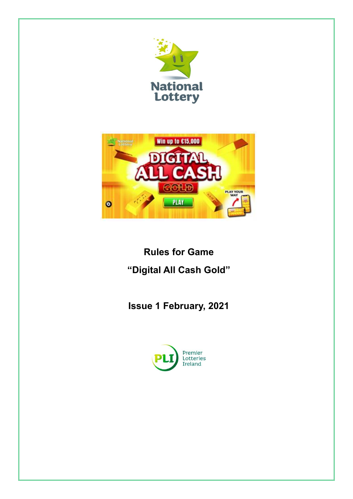



# **Rules for Game "Digital All Cash Gold"**

## **Issue 1 February, 2021**

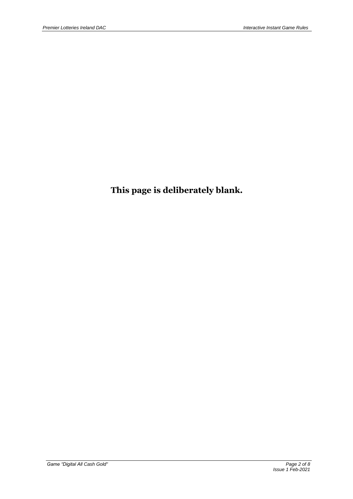**This page is deliberately blank.**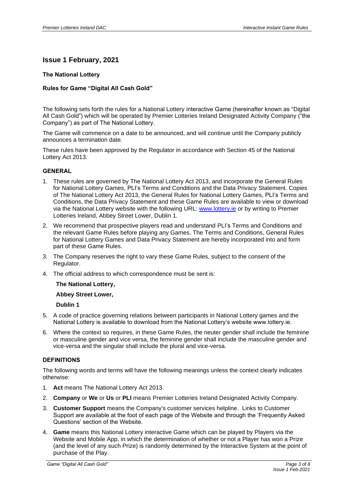## **Issue 1 February, 2021**

## **The National Lottery**

## **Rules for Game "Digital All Cash Gold"**

The following sets forth the rules for a National Lottery interactive Game (hereinafter known as "Digital All Cash Gold") which will be operated by Premier Lotteries Ireland Designated Activity Company ("the Company") as part of The National Lottery.

The Game will commence on a date to be announced, and will continue until the Company publicly announces a termination date.

These rules have been approved by the Regulator in accordance with Section 45 of the National Lottery Act 2013.

## **GENERAL**

- 1. These rules are governed by The National Lottery Act 2013, and incorporate the General Rules for National Lottery Games, PLI's Terms and Conditions and the Data Privacy Statement. Copies of The National Lottery Act 2013, the General Rules for National Lottery Games, PLI's Terms and Conditions, the Data Privacy Statement and these Game Rules are available to view or download via the National Lottery website with the following URL: [www.lottery.ie](http://www.lotto.ie/) or by writing to Premier Lotteries Ireland, Abbey Street Lower, Dublin 1.
- 2. We recommend that prospective players read and understand PLI's Terms and Conditions and the relevant Game Rules before playing any Games. The Terms and Conditions, General Rules for National Lottery Games and Data Privacy Statement are hereby incorporated into and form part of these Game Rules.
- 3. The Company reserves the right to vary these Game Rules, subject to the consent of the Regulator.
- 4. The official address to which correspondence must be sent is:

## **The National Lottery,**

## **Abbey Street Lower,**

#### **Dublin 1**

- 5. A code of practice governing relations between participants in National Lottery games and the National Lottery is available to download from the National Lottery's website www.lottery.ie.
- 6. Where the context so requires, in these Game Rules, the neuter gender shall include the feminine or masculine gender and vice versa, the feminine gender shall include the masculine gender and vice-versa and the singular shall include the plural and vice-versa.

## **DEFINITIONS**

The following words and terms will have the following meanings unless the context clearly indicates otherwise:

- 1. **Act** means The National Lottery Act 2013.
- 2. **Company** or **We** or **Us** or **PLI** means Premier Lotteries Ireland Designated Activity Company.
- 3. **Customer Support** means the Company's customer services helpline. Links to Customer Support are available at the foot of each page of the Website and through the 'Frequently Asked Questions' section of the Website.
- 4. **Game** means this National Lottery interactive Game which can be played by Players via the Website and Mobile App, in which the determination of whether or not a Player has won a Prize (and the level of any such Prize) is randomly determined by the Interactive System at the point of purchase of the Play.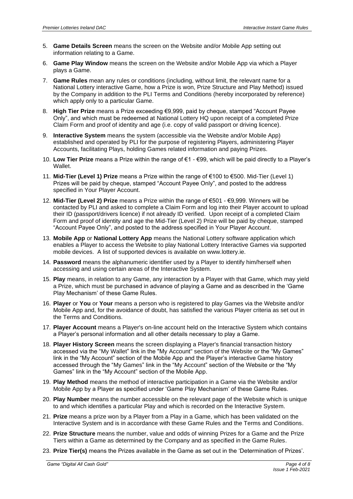- 5. **Game Details Screen** means the screen on the Website and/or Mobile App setting out information relating to a Game.
- 6. **Game Play Window** means the screen on the Website and/or Mobile App via which a Player plays a Game.
- 7. **Game Rules** mean any rules or conditions (including, without limit, the relevant name for a National Lottery interactive Game, how a Prize is won, Prize Structure and Play Method) issued by the Company in addition to the PLI Terms and Conditions (hereby incorporated by reference) which apply only to a particular Game.
- 8. **High Tier Prize** means a Prize exceeding €9,999, paid by cheque, stamped "Account Payee Only", and which must be redeemed at National Lottery HQ upon receipt of a completed Prize Claim Form and proof of identity and age (i.e. copy of valid passport or driving licence).
- 9. **Interactive System** means the system (accessible via the Website and/or Mobile App) established and operated by PLI for the purpose of registering Players, administering Player Accounts, facilitating Plays, holding Games related information and paying Prizes.
- 10. **Low Tier Prize** means a Prize within the range of €1 €99, which will be paid directly to a Player's Wallet.
- 11. **Mid-Tier (Level 1) Prize** means a Prize within the range of €100 to €500. Mid-Tier (Level 1) Prizes will be paid by cheque, stamped "Account Payee Only", and posted to the address specified in Your Player Account.
- 12. **Mid-Tier (Level 2) Prize** means a Prize within the range of €501 €9,999. Winners will be contacted by PLI and asked to complete a Claim Form and log into their Player account to upload their ID (passport/drivers licence) if not already ID verified. Upon receipt of a completed Claim Form and proof of identity and age the Mid-Tier (Level 2) Prize will be paid by cheque, stamped "Account Payee Only", and posted to the address specified in Your Player Account.
- 13. **Mobile App** or **National Lottery App** means the National Lottery software application which enables a Player to access the Website to play National Lottery Interactive Games via supported mobile devices. A list of supported devices is available on www.lottery.ie.
- 14. **Password** means the alphanumeric identifier used by a Player to identify him/herself when accessing and using certain areas of the Interactive System.
- 15. **Play** means, in relation to any Game, any interaction by a Player with that Game, which may yield a Prize, which must be purchased in advance of playing a Game and as described in the 'Game Play Mechanism' of these Game Rules.
- 16. **Player** or **You** or **Your** means a person who is registered to play Games via the Website and/or Mobile App and, for the avoidance of doubt, has satisfied the various Player criteria as set out in the Terms and Conditions.
- 17. **Player Account** means a Player's on-line account held on the Interactive System which contains a Player's personal information and all other details necessary to play a Game.
- 18. **Player History Screen** means the screen displaying a Player's financial transaction history accessed via the "My Wallet" link in the "My Account" section of the Website or the "My Games" link in the "My Account" section of the Mobile App and the Player's interactive Game history accessed through the "My Games" link in the "My Account" section of the Website or the "My Games" link in the "My Account" section of the Mobile App.
- 19. **Play Method** means the method of interactive participation in a Game via the Website and/or Mobile App by a Player as specified under 'Game Play Mechanism' of these Game Rules.
- 20. **Play Number** means the number accessible on the relevant page of the Website which is unique to and which identifies a particular Play and which is recorded on the Interactive System.
- 21. **Prize** means a prize won by a Player from a Play in a Game, which has been validated on the Interactive System and is in accordance with these Game Rules and the Terms and Conditions.
- 22. **Prize Structure** means the number, value and odds of winning Prizes for a Game and the Prize Tiers within a Game as determined by the Company and as specified in the Game Rules.
- 23. **Prize Tier(s)** means the Prizes available in the Game as set out in the 'Determination of Prizes'.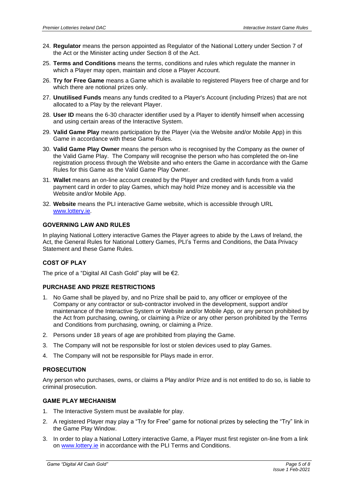- 24. **Regulator** means the person appointed as Regulator of the National Lottery under Section 7 of the Act or the Minister acting under Section 8 of the Act.
- 25. **Terms and Conditions** means the terms, conditions and rules which regulate the manner in which a Player may open, maintain and close a Player Account.
- 26. **Try for Free Game** means a Game which is available to registered Players free of charge and for which there are notional prizes only.
- 27. **Unutilised Funds** means any funds credited to a Player's Account (including Prizes) that are not allocated to a Play by the relevant Player.
- 28. **User ID** means the 6-30 character identifier used by a Player to identify himself when accessing and using certain areas of the Interactive System.
- 29. **Valid Game Play** means participation by the Player (via the Website and/or Mobile App) in this Game in accordance with these Game Rules.
- 30. **Valid Game Play Owner** means the person who is recognised by the Company as the owner of the Valid Game Play. The Company will recognise the person who has completed the on-line registration process through the Website and who enters the Game in accordance with the Game Rules for this Game as the Valid Game Play Owner.
- 31. **Wallet** means an on-line account created by the Player and credited with funds from a valid payment card in order to play Games, which may hold Prize money and is accessible via the Website and/or Mobile App.
- 32. **Website** means the PLI interactive Game website, which is accessible through URL www.lottery.ie.

## **GOVERNING LAW AND RULES**

In playing National Lottery interactive Games the Player agrees to abide by the Laws of Ireland, the Act, the General Rules for National Lottery Games, PLI's Terms and Conditions, the Data Privacy Statement and these Game Rules.

## **COST OF PLAY**

The price of a "Digital All Cash Gold" play will be €2.

#### **PURCHASE AND PRIZE RESTRICTIONS**

- 1. No Game shall be played by, and no Prize shall be paid to, any officer or employee of the Company or any contractor or sub-contractor involved in the development, support and/or maintenance of the Interactive System or Website and/or Mobile App, or any person prohibited by the Act from purchasing, owning, or claiming a Prize or any other person prohibited by the Terms and Conditions from purchasing, owning, or claiming a Prize.
- 2. Persons under 18 years of age are prohibited from playing the Game.
- 3. The Company will not be responsible for lost or stolen devices used to play Games.
- 4. The Company will not be responsible for Plays made in error.

## **PROSECUTION**

Any person who purchases, owns, or claims a Play and/or Prize and is not entitled to do so, is liable to criminal prosecution.

#### **GAME PLAY MECHANISM**

- 1. The Interactive System must be available for play.
- 2. A registered Player may play a "Try for Free" game for notional prizes by selecting the "Try" link in the Game Play Window.
- 3. In order to play a National Lottery interactive Game, a Player must first register on-line from a link on [www.lottery.ie](http://www.lotto.ie/) in accordance with the PLI Terms and Conditions.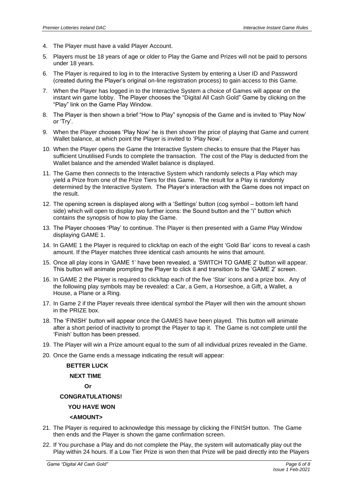- 4. The Player must have a valid Player Account.
- 5. Players must be 18 years of age or older to Play the Game and Prizes will not be paid to persons under 18 years.
- 6. The Player is required to log in to the Interactive System by entering a User ID and Password (created during the Player's original on-line registration process) to gain access to this Game.
- 7. When the Player has logged in to the Interactive System a choice of Games will appear on the instant win game lobby. The Player chooses the "Digital All Cash Gold" Game by clicking on the "Play" link on the Game Play Window.
- 8. The Player is then shown a brief "How to Play" synopsis of the Game and is invited to 'Play Now' or 'Try'.
- 9. When the Player chooses 'Play Now' he is then shown the price of playing that Game and current Wallet balance, at which point the Player is invited to 'Play Now'.
- 10. When the Player opens the Game the Interactive System checks to ensure that the Player has sufficient Unutilised Funds to complete the transaction. The cost of the Play is deducted from the Wallet balance and the amended Wallet balance is displayed.
- 11. The Game then connects to the Interactive System which randomly selects a Play which may yield a Prize from one of the Prize Tiers for this Game. The result for a Play is randomly determined by the Interactive System. The Player's interaction with the Game does not impact on the result.
- 12. The opening screen is displayed along with a 'Settings' button (cog symbol bottom left hand side) which will open to display two further icons: the Sound button and the "i" button which contains the synopsis of how to play the Game.
- 13. The Player chooses 'Play' to continue. The Player is then presented with a Game Play Window displaying GAME 1.
- 14. In GAME 1 the Player is required to click/tap on each of the eight 'Gold Bar' icons to reveal a cash amount. If the Player matches three identical cash amounts he wins that amount.
- 15. Once all play icons in 'GAME 1' have been revealed, a 'SWITCH TO GAME 2' button will appear. This button will animate prompting the Player to click it and transition to the 'GAME 2' screen.
- 16. In GAME 2 the Player is required to click/tap each of the five 'Star' icons and a prize box. Any of the following play symbols may be revealed: a Car, a Gem, a Horseshoe, a Gift, a Wallet, a House, a Plane or a Ring.
- 17. In Game 2 if the Player reveals three identical symbol the Player will then win the amount shown in the PRIZE box.
- 18. The 'FINISH' button will appear once the GAMES have been played. This button will animate after a short period of inactivity to prompt the Player to tap it. The Game is not complete until the 'Finish' button has been pressed.
- 19. The Player will win a Prize amount equal to the sum of all individual prizes revealed in the Game.
- 20. Once the Game ends a message indicating the result will appear:

 **BETTER LUCK NEXT TIME** *<u> Oriental Oriental</u>*  **CONGRATULATIONS!** 

#### **YOU HAVE WON**

#### **<AMOUNT>**

- 21. The Player is required to acknowledge this message by clicking the FINISH button. The Game then ends and the Player is shown the game confirmation screen.
- 22. If You purchase a Play and do not complete the Play, the system will automatically play out the Play within 24 hours. If a Low Tier Prize is won then that Prize will be paid directly into the Players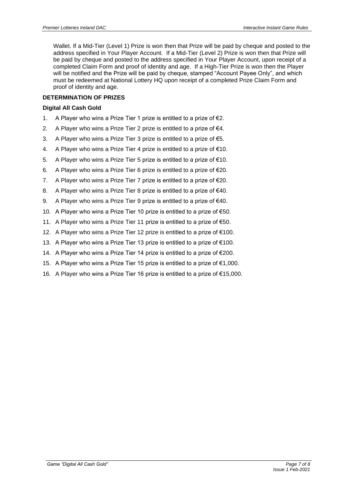Wallet. If a Mid-Tier (Level 1) Prize is won then that Prize will be paid by cheque and posted to the address specified in Your Player Account. If a Mid-Tier (Level 2) Prize is won then that Prize will be paid by cheque and posted to the address specified in Your Player Account, upon receipt of a completed Claim Form and proof of identity and age. If a High-Tier Prize is won then the Player will be notified and the Prize will be paid by cheque, stamped "Account Payee Only", and which must be redeemed at National Lottery HQ upon receipt of a completed Prize Claim Form and proof of identity and age.

## **DETERMINATION OF PRIZES**

### **Digital All Cash Gold**

- 1. A Player who wins a Prize Tier 1 prize is entitled to a prize of  $\epsilon$ 2.
- 2. A Player who wins a Prize Tier 2 prize is entitled to a prize of  $\epsilon$ 4.
- 3. A Player who wins a Prize Tier 3 prize is entitled to a prize of  $65$ .
- 4. A Player who wins a Prize Tier 4 prize is entitled to a prize of €10.
- 5. A Player who wins a Prize Tier 5 prize is entitled to a prize of €10.
- 6. A Player who wins a Prize Tier 6 prize is entitled to a prize of  $\epsilon$ 20.
- 7. A Player who wins a Prize Tier 7 prize is entitled to a prize of  $\epsilon$ 20.
- 8. A Player who wins a Prize Tier 8 prize is entitled to a prize of €40.
- 9. A Player who wins a Prize Tier 9 prize is entitled to a prize of €40.
- 10. A Player who wins a Prize Tier 10 prize is entitled to a prize of €50.
- 11. A Player who wins a Prize Tier 11 prize is entitled to a prize of €50.
- 12. A Player who wins a Prize Tier 12 prize is entitled to a prize of €100.
- 13. A Player who wins a Prize Tier 13 prize is entitled to a prize of €100.
- 14. A Player who wins a Prize Tier 14 prize is entitled to a prize of €200.
- 15. A Player who wins a Prize Tier 15 prize is entitled to a prize of €1,000.
- 16. A Player who wins a Prize Tier 16 prize is entitled to a prize of €15,000.